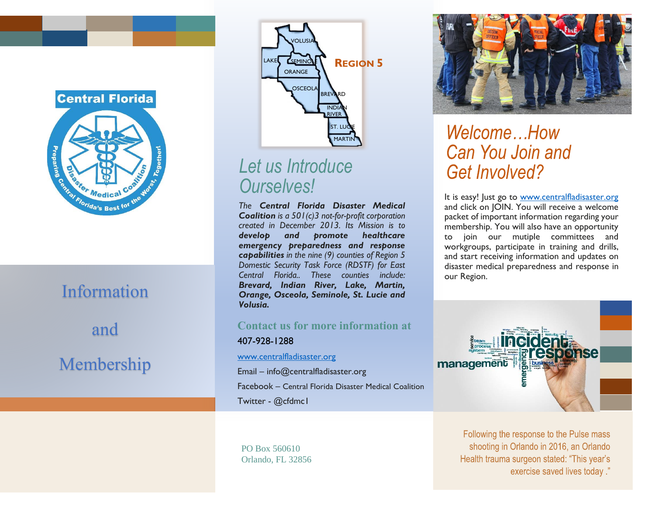

# Information and Membership



### *Let us Introduce Ourselves!*

*The Central Florida Disaster Medical Coalition is a 501(c)3 not-for-profit corporation created in December 2013. Its Mission is to develop and promote healthcare emergency preparedness and response capabilities in the nine (9) counties of Region 5 Domestic Security Task Force (RDSTF) for East Central Florida.. These counties include: Brevard, Indian River, Lake, Martin, Orange, Osceola, Seminole, St. Lucie and Volusia.*

### **Contact us for more information at**  407-928-1288

[www.centralfladisaster.org](http://www.centralfladisaster.org/)

Email – info@centralfladisaster.org

Facebook – Central Florida Disaster Medical Coalition Twitter - @cfdmc1

PO Box 560610 Orlando, FL 32856



## Welcome...How Can You Join and **Get Involved?**

It is easy! Just go to [www.centralfladisaster.org](http://www.centralfladisaster.org/) and click on JOIN. You will receive a welcome packet of important information regarding your membership. You will also have an opportunity to join our mutiple committees and workgroups, participate in training and drills, and start receiving information and updates on disaster medical preparedness and response in our Region.



Following the response to the Pulse mass shooting in Orlando in 2016, an Orlando Health trauma surgeon stated: "This year's exercise saved lives today."